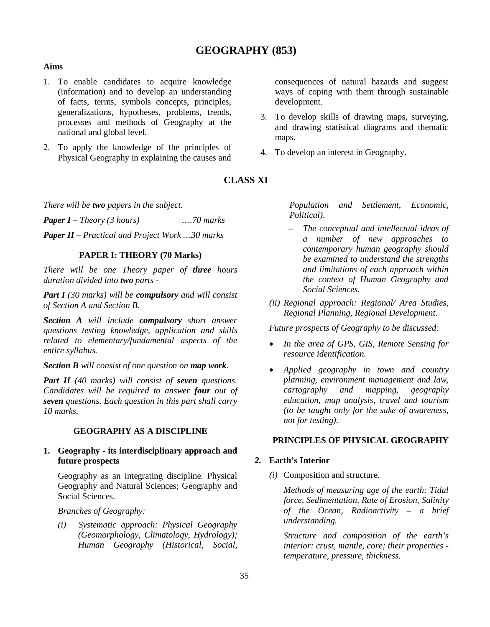# **GEOGRAPHY (853)**

# **Aims**

- 1. To enable candidates to acquire knowledge (information) and to develop an understanding of facts, terms, symbols concepts, principles, generalizations, hypotheses, problems, trends, processes and methods of Geography at the national and global level.
- 2. To apply the knowledge of the principles of Physical Geography in explaining the causes and

# **CLASS XI**

*There will be two papers in the subject.*

*Paper I – Theory (3 hours) ….70 marks*

*Paper II – Practical and Project Work …30 marks*

#### **PAPER I: THEORY (70 Marks)**

*There will be one Theory paper of three hours duration divided into two parts -*

*Part I (30 marks) will be compulsory and will consist of Section A and Section B.*

*Section A will include compulsory short answer questions testing knowledge, application and skills related to elementary/fundamental aspects of the entire syllabus.* 

*Section B will consist of one question on map work.*

*Part II (40 marks) will consist of seven questions. Candidates will be required to answer four out of seven questions. Each question in this part shall carry 10 marks.*

# **GEOGRAPHY AS A DISCIPLINE**

# **1. Geography - its interdisciplinary approach and future prospects**

Geography as an integrating discipline. Physical Geography and Natural Sciences; Geography and Social Sciences.

*Branches of Geography:* 

*(i) Systematic approach: Physical Geography (Geomorphology, Climatology, Hydrology); Human Geography (Historical, Social,*  consequences of natural hazards and suggest ways of coping with them through sustainable development.

- 3. To develop skills of drawing maps, surveying, and drawing statistical diagrams and thematic maps.
- 4. To develop an interest in Geography.

*Population and Settlement, Economic, Political).*

- *The conceptual and intellectual ideas of a number of new approaches to contemporary human geography should be examined to understand the strengths and limitations of each approach within the context of Human Geography and Social Sciences.*
- *(ii) Regional approach: Regional/ Area Studies, Regional Planning, Regional Development.*

*Future prospects of Geography to be discussed:*

- *In the area of GPS, GIS, Remote Sensing for resource identification.*
- *Applied geography in town and country planning, environment management and law, cartography and mapping, geography education, map analysis, travel and tourism (to be taught only for the sake of awareness, not for testing).*

# **PRINCIPLES OF PHYSICAL GEOGRAPHY**

#### *2.* **Earth's Interior**

*(i)* Composition and structure.

*Methods of measuring age of the earth: Tidal force, Sedimentation, Rate of Erosion, Salinity of the Ocean, Radioactivity – a brief understanding.* 

*Structure and composition of the earth's interior: crust, mantle, core; their properties temperature, pressure, thickness.*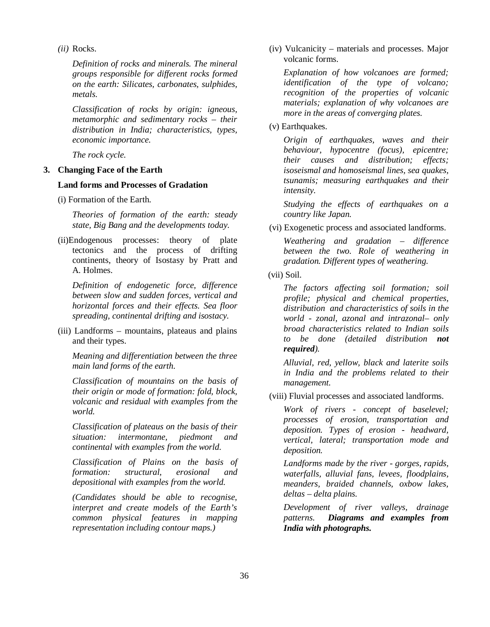*(ii)* Rocks.

*Definition of rocks and minerals. The mineral groups responsible for different rocks formed on the earth: Silicates, carbonates, sulphides, metals.* 

*Classification of rocks by origin: igneous, metamorphic and sedimentary rocks – their distribution in India; characteristics, types, economic importance.* 

*The rock cycle.* 

# **3. Changing Face of the Earth**

### **Land forms and Processes of Gradation**

(i) Formation of the Earth.

*Theories of formation of the earth: steady state, Big Bang and the developments today.* 

(ii)Endogenous processes: theory of plate tectonics and the process of drifting continents, theory of Isostasy by Pratt and A. Holmes.

*Definition of endogenetic force, difference between slow and sudden forces, vertical and horizontal forces and their effects. Sea floor spreading, continental drifting and isostacy.*

(iii) Landforms – mountains, plateaus and plains and their types.

*Meaning and differentiation between the three main land forms of the earth.* 

*Classification of mountains on the basis of their origin or mode of formation: fold, block, volcanic and residual with examples from the world.*

*Classification of plateaus on the basis of their situation: intermontane, piedmont and continental with examples from the world.*

*Classification of Plains on the basis of formation: structural, erosional and depositional with examples from the world.*

*(Candidates should be able to recognise, interpret and create models of the Earth's common physical features in mapping representation including contour maps.)*

(iv) Vulcanicity – materials and processes. Major volcanic forms.

*Explanation of how volcanoes are formed; identification of the type of volcano; recognition of the properties of volcanic materials; explanation of why volcanoes are more in the areas of converging plates.*

(v) Earthquakes.

*Origin of earthquakes, waves and their behaviour, hypocentre (focus), epicentre; their causes and distribution; effects; isoseismal and homoseismal lines, sea quakes, tsunamis; measuring earthquakes and their intensity.*

*Studying the effects of earthquakes on a country like Japan.*

(vi) Exogenetic process and associated landforms.

*Weathering and gradation – difference between the two. Role of weathering in gradation. Different types of weathering.*

(vii) Soil.

*The factors affecting soil formation; soil profile; physical and chemical properties, distribution and characteristics of soils in the world - zonal, azonal and intrazonal– only broad characteristics related to Indian soils to be done (detailed distribution not required).*

*Alluvial, red, yellow, black and laterite soils in India and the problems related to their management.*

(viii) Fluvial processes and associated landforms.

*Work of rivers - concept of baselevel; processes of erosion, transportation and deposition. Types of erosion - headward, vertical, lateral; transportation mode and deposition.* 

*Landforms made by the river - gorges, rapids, waterfalls, alluvial fans, levees, floodplains, meanders, braided channels, oxbow lakes, deltas – delta plains.* 

*Development of river valleys, drainage patterns. Diagrams and examples from India with photographs.*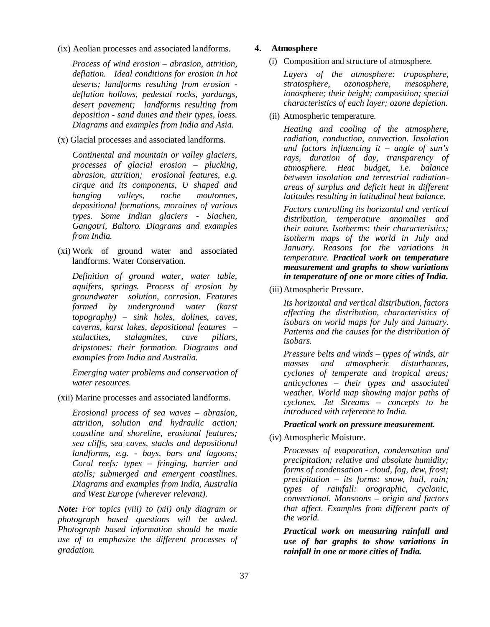(ix) Aeolian processes and associated landforms.

*Process of wind erosion – abrasion, attrition, deflation. Ideal conditions for erosion in hot deserts; landforms resulting from erosion deflation hollows, pedestal rocks, yardangs, desert pavement; landforms resulting from deposition - sand dunes and their types, loess. Diagrams and examples from India and Asia.*

(x) Glacial processes and associated landforms.

*Continental and mountain or valley glaciers, processes of glacial erosion – plucking, abrasion, attrition; erosional features, e.g. cirque and its components, U shaped and hanging valleys, roche moutonnes, depositional formations, moraines of various types. Some Indian glaciers - Siachen, Gangotri, Baltoro. Diagrams and examples from India.* 

(xi) Work of ground water and associated landforms. Water Conservation.

*Definition of ground water, water table, aquifers, springs. Process of erosion by groundwater solution, corrasion. Features formed by underground water (karst topography) – sink holes, dolines, caves, caverns, karst lakes, depositional features – stalactites, stalagmites, cave pillars, dripstones: their formation. Diagrams and examples from India and Australia.* 

*Emerging water problems and conservation of water resources.*

(xii) Marine processes and associated landforms.

*Erosional process of sea waves – abrasion, attrition, solution and hydraulic action; coastline and shoreline, erosional features; sea cliffs, sea caves, stacks and depositional landforms, e.g. - bays, bars and lagoons; Coral reefs: types – fringing, barrier and atolls; submerged and emergent coastlines. Diagrams and examples from India, Australia and West Europe (wherever relevant).*

*Note: For topics (viii) to (xii) only diagram or photograph based questions will be asked. Photograph based information should be made use of to emphasize the different processes of gradation.*

# **4. Atmosphere**

(i) Composition and structure of atmosphere.

*Layers of the atmosphere: troposphere, stratosphere, ozonosphere, mesosphere, ionosphere; their height; composition; special characteristics of each layer; ozone depletion.*

(ii) Atmospheric temperature.

*Heating and cooling of the atmosphere, radiation, conduction, convection. Insolation and factors influencing it – angle of sun's rays, duration of day, transparency of atmosphere. Heat budget, i.e. balance between insolation and terrestrial radiationareas of surplus and deficit heat in different latitudes resulting in latitudinal heat balance.*

*Factors controlling its horizontal and vertical distribution, temperature anomalies and their nature. Isotherms: their characteristics; isotherm maps of the world in July and January. Reasons for the variations in temperature. Practical work on temperature measurement and graphs to show variations in temperature of one or more cities of India.*

(iii) Atmospheric Pressure.

*Its horizontal and vertical distribution, factors affecting the distribution, characteristics of isobars on world maps for July and January. Patterns and the causes for the distribution of isobars.* 

*Pressure belts and winds – types of winds, air masses and atmospheric disturbances, cyclones of temperate and tropical areas; anticyclones – their types and associated weather. World map showing major paths of cyclones. Jet Streams – concepts to be introduced with reference to India.*

#### *Practical work on pressure measurement.*

(iv) Atmospheric Moisture.

*Processes of evaporation, condensation and precipitation; relative and absolute humidity; forms of condensation - cloud, fog, dew, frost; precipitation – its forms: snow, hail, rain; types of rainfall: orographic, cyclonic, convectional. Monsoons – origin and factors that affect. Examples from different parts of the world.* 

*Practical work on measuring rainfall and use of bar graphs to show variations in rainfall in one or more cities of India.*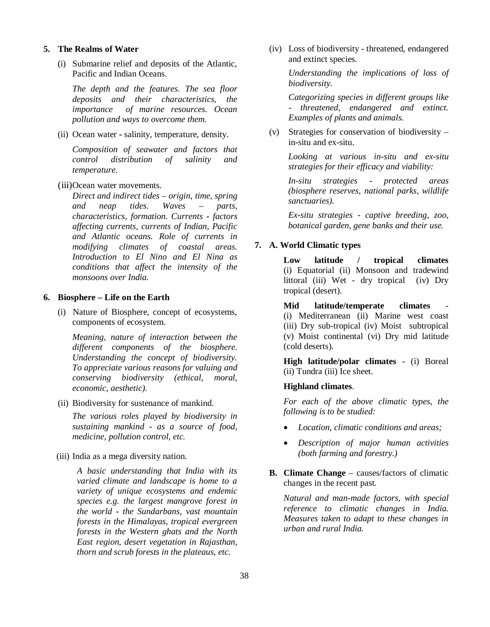#### **5. The Realms of Water**

(i) Submarine relief and deposits of the Atlantic, Pacific and Indian Oceans.

*The depth and the features. The sea floor deposits and their characteristics, the importance of marine resources. Ocean pollution and ways to overcome them.*

(ii) Ocean water **-** salinity, temperature, density.

*Composition of seawater and factors that control distribution of salinity and temperature.*

(iii)Ocean water movements.

*Direct and indirect tides – origin, time, spring and neap tides. Waves – parts, characteristics, formation. Currents - factors affecting currents, currents of Indian, Pacific and Atlantic oceans. Role of currents in modifying climates of coastal areas. Introduction to El Nino and El Nina as conditions that affect the intensity of the monsoons over India.* 

#### **6. Biosphere – Life on the Earth**

(i) Nature of Biosphere, concept of ecosystems, components of ecosystem.

*Meaning, nature of interaction between the different components of the biosphere. Understanding the concept of biodiversity. To appreciate various reasons for valuing and conserving biodiversity (ethical, moral, economic, aesthetic).*

(ii) Biodiversity for sustenance of mankind.

*The various roles played by biodiversity in sustaining mankind - as a source of food, medicine, pollution control, etc.*

(iii) India as a mega diversity nation.

*A basic understanding that India with its varied climate and landscape is home to a variety of unique ecosystems and endemic species e.g. the largest mangrove forest in the world - the Sundarbans, vast mountain forests in the Himalayas, tropical evergreen forests in the Western ghats and the North East region, desert vegetation in Rajasthan, thorn and scrub forests in the plateaus, etc.*

(iv) Loss of biodiversity - threatened, endangered and extinct species.

> *Understanding the implications of loss of biodiversity.*

> *Categorizing species in different groups like - threatened, endangered and extinct. Examples of plants and animals.*

(v) Strategies for conservation of biodiversity – in-situ and ex-situ.

> *Looking at various in-situ and ex-situ strategies for their efficacy and viability:*

> *In-situ strategies - protected areas (biosphere reserves, national parks, wildlife sanctuaries).*

> *Ex-situ strategies - captive breeding, zoo, botanical garden, gene banks and their use.*

#### **7. A. World Climatic types**

**Low latitude / tropical climates** (i) Equatorial (ii) Monsoon and tradewind littoral (iii) Wet - dry tropical (iv) Dry tropical (desert).

**Mid** latitude/temperate climates (i) Mediterranean (ii) Marine west coast (iii) Dry sub-tropical (iv) Moist subtropical (v) Moist continental (vi) Dry mid latitude (cold deserts).

**High latitude/polar climates** - (i) Boreal (ii) Tundra (iii) Ice sheet.

#### **Highland climates**.

*For each of the above climatic types, the following is to be studied:*

- *Location, climatic conditions and areas;*
- *Description of major human activities (both farming and forestry.)*
- **B. Climate Change** causes/factors of climatic changes in the recent past.

*Natural and man-made factors, with special reference to climatic changes in India. Measures taken to adapt to these changes in urban and rural India.*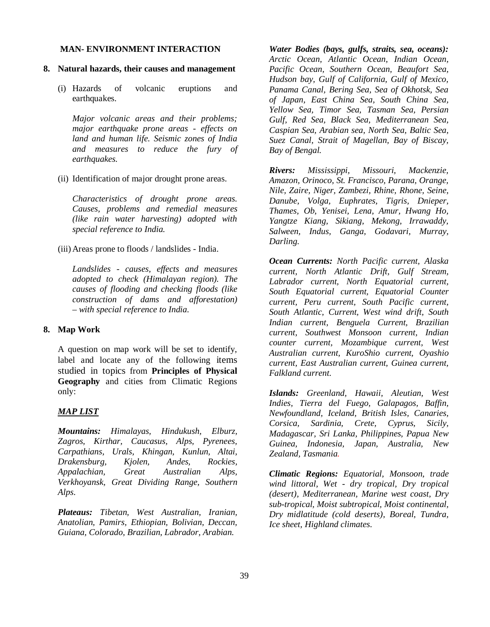# **MAN- ENVIRONMENT INTERACTION**

- **8. Natural hazards, their causes and management**
	- (i) Hazards of volcanic eruptions and earthquakes.

*Major volcanic areas and their problems; major earthquake prone areas - effects on land and human life. Seismic zones of India and measures to reduce the fury of*   $earthauakes.$ 

(ii) Identification of major drought prone areas.

*Characteristics of drought prone areas. Causes, problems and remedial measures (like rain water harvesting) adopted with special reference to India.*

(iii) Areas prone to floods / landslides - India.

*Landslides - causes, effects and measures adopted to check (Himalayan region). The causes of flooding and checking floods (like construction of dams and afforestation) – with special reference to India.*

#### **8. Map Work**

A question on map work will be set to identify, label and locate any of the following items studied in topics from **Principles of Physical Geography** and cities from Climatic Regions only:

#### *MAP LIST*

*Mountains: Himalayas, Hindukush, Elburz, Zagros, Kirthar, Caucasus, Alps, Pyrenees, Carpathians, Urals, Khingan, Kunlun, Altai, Drakensburg, Kjolen, Andes, Rockies, Appalachian, Great Australian Alps, Verkhoyansk, Great Dividing Range, Southern Alps.*

*Plateaus: Tibetan, West Australian, Iranian, Anatolian, Pamirs, Ethiopian, Bolivian, Deccan, Guiana, Colorado, Brazilian, Labrador, Arabian.*

*Water Bodies (bays, gulfs, straits, sea, oceans): Arctic Ocean, Atlantic Ocean, Indian Ocean, Pacific Ocean, Southern Ocean, Beaufort Sea, Hudson bay, Gulf of California, Gulf of Mexico, Panama Canal, Bering Sea, Sea of Okhotsk, Sea of Japan, East China Sea, South China Sea, Yellow Sea, Timor Sea, Tasman Sea, Persian Gulf, Red Sea, Black Sea, Mediterranean Sea, Caspian Sea, Arabian sea, North Sea, Baltic Sea, Suez Canal, Strait of Magellan, Bay of Biscay, Bay of Bengal.*

*Rivers: Mississippi, Missouri, Mackenzie, Amazon, Orinoco, St. Francisco, Parana, Orange, Nile, Zaire, Niger, Zambezi, Rhine, Rhone, Seine, Danube, Volga, Euphrates, Tigris, Dnieper, Thames, Ob, Yenisei, Lena, Amur, Hwang Ho, Yangtze Kiang, Sikiang, Mekong, Irrawaddy, Salween, Indus, Ganga, Godavari, Murray, Darling.*

*Ocean Currents: North Pacific current, Alaska current, North Atlantic Drift, Gulf Stream, Labrador current, North Equatorial current, South Equatorial current, Equatorial Counter current, Peru current, South Pacific current, South Atlantic, Current, West wind drift, South Indian current, Benguela Current, Brazilian current, Southwest Monsoon current, Indian counter current, Mozambique current, West Australian current, KuroShio current, Oyashio current, East Australian current, Guinea current, Falkland current.*

*Islands: Greenland, Hawaii, Aleutian, West Indies, Tierra del Fuego, Galapagos, Baffin, Newfoundland, Iceland, British Isles, Canaries, Corsica, Sardinia, Crete, Cyprus, Sicily, Madagascar, Sri Lanka, Philippines, Papua New Guinea, Indonesia, Japan, Australia, New Zealand, Tasmania.*

*Climatic Regions: Equatorial, Monsoon, trade wind littoral, Wet - dry tropical, Dry tropical (desert), Mediterranean, Marine west coast, Dry sub-tropical, Moist subtropical, Moist continental, Dry midlatitude (cold deserts), Boreal, Tundra, Ice sheet, Highland climates*.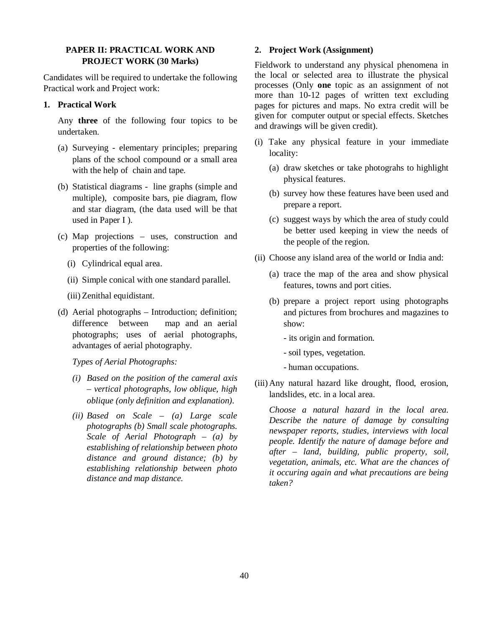#### **PAPER II: PRACTICAL WORK AND PROJECT WORK (30 Marks)**

Candidates will be required to undertake the following Practical work and Project work:

# **1. Practical Work**

Any **three** of the following four topics to be undertaken.

- (a) Surveying elementary principles; preparing plans of the school compound or a small area with the help of chain and tape.
- (b) Statistical diagrams line graphs (simple and multiple), composite bars, pie diagram, flow and star diagram, (the data used will be that used in Paper I ).
- (c) Map projections uses, construction and properties of the following:
	- (i) Cylindrical equal area.
	- (ii) Simple conical with one standard parallel.
	- (iii) Zenithal equidistant.
- (d) Aerial photographs Introduction; definition; difference between map and an aerial photographs; uses of aerial photographs, advantages of aerial photography.

# *Types of Aerial Photographs:*

- *(i) Based on the position of the cameral axis – vertical photographs, low oblique, high oblique (only definition and explanation).*
- *(ii) Based on Scale (a) Large scale photographs (b) Small scale photographs. Scale of Aerial Photograph – (a) by establishing of relationship between photo distance and ground distance; (b) by establishing relationship between photo distance and map distance.*

# **2. Project Work (Assignment)**

Fieldwork to understand any physical phenomena in the local or selected area to illustrate the physical processes (Only **one** topic as an assignment of not more than 10-12 pages of written text excluding pages for pictures and maps. No extra credit will be given for computer output or special effects. Sketches and drawings will be given credit).

- (i) Take any physical feature in your immediate locality:
	- (a) draw sketches or take photograhs to highlight physical features.
	- (b) survey how these features have been used and prepare a report.
	- (c) suggest ways by which the area of study could be better used keeping in view the needs of the people of the region.
- (ii) Choose any island area of the world or India and:
	- (a) trace the map of the area and show physical features, towns and port cities.
	- (b) prepare a project report using photographs and pictures from brochures and magazines to show:
		- its origin and formation.
		- soil types, vegetation.
		- human occupations.
- (iii) Any natural hazard like drought, flood, erosion, landslides, etc. in a local area.

*Choose a natural hazard in the local area. Describe the nature of damage by consulting newspaper reports, studies, interviews with local people. Identify the nature of damage before and after – land, building, public property, soil, vegetation, animals, etc. What are the chances of it occuring again and what precautions are being taken?*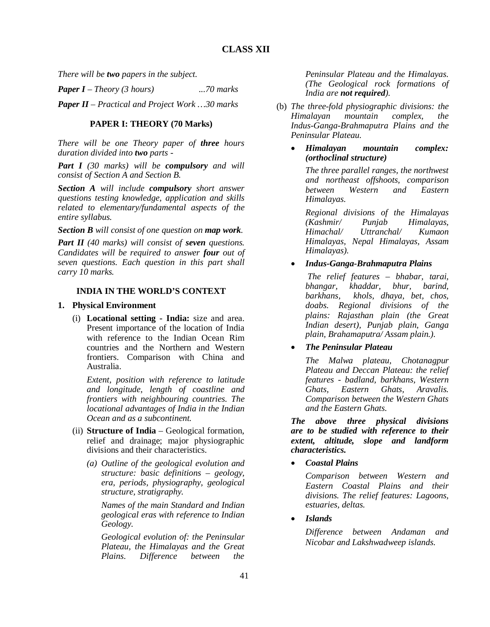*There will be two papers in the subject.*

*Paper I – Theory (3 hours) ...70 marks*

*Paper II – Practical and Project Work …30 marks*

# **PAPER I: THEORY (70 Marks)**

*There will be one Theory paper of three hours duration divided into two parts -*

*Part I (30 marks) will be compulsory and will consist of Section A and Section B.*

*Section A will include compulsory short answer questions testing knowledge, application and skills related to elementary/fundamental aspects of the entire syllabus.* 

*Section B will consist of one question on map work.*

*Part II (40 marks) will consist of seven questions. Candidates will be required to answer four out of seven questions. Each question in this part shall carry 10 marks.*

# **INDIA IN THE WORLD'S CONTEXT**

#### **1. Physical Environment**

(i) **Locational setting - India:** size and area. Present importance of the location of India with reference to the Indian Ocean Rim countries and the Northern and Western frontiers. Comparison with China and Australia.

*Extent, position with reference to latitude and longitude, length of coastline and frontiers with neighbouring countries. The locational advantages of India in the Indian Ocean and as a subcontinent.*

- (ii) **Structure of India** Geological formation, relief and drainage; major physiographic divisions and their characteristics.
	- *(a) Outline of the geological evolution and structure: basic definitions – geology, era, periods, physiography, geological structure, stratigraphy.*

*Names of the main Standard and Indian geological eras with reference to Indian Geology.*

*Geological evolution of: the Peninsular Plateau, the Himalayas and the Great Plains. Difference between the* 

*Peninsular Plateau and the Himalayas. (The Geological rock formations of India are not required).*

- (b) *The three-fold physiographic divisions: the Himalayan mountain complex, the Indus-Ganga-Brahmaputra Plains and the Peninsular Plateau.*
	- *Himalayan mountain complex: (orthoclinal structure)*

*The three parallel ranges, the northwest and northeast offshoots, comparison between Western and Eastern Himalayas.* 

*Regional divisions of the Himalayas (Kashmir/ Punjab Himalayas, Himachal/ Uttranchal/ Kumaon Himalayas, Nepal Himalayas, Assam Himalayas).*

# *Indus-Ganga-Brahmaputra Plains*

 *The relief features – bhabar, tarai, bhangar, khaddar, bhur, barind, barkhans, khols, dhaya, bet, chos, doabs. Regional divisions of the plains: Rajasthan plain (the Great Indian desert), Punjab plain, Ganga plain, Brahamaputra/ Assam plain.).*

# *The Peninsular Plateau*

*The Malwa plateau, Chotanagpur Plateau and Deccan Plateau: the relief features - badland, barkhans, Western Ghats, Eastern Ghats, Aravalis. Comparison between the Western Ghats and the Eastern Ghats.*

*The above three physical divisions are to be studied with reference to their extent, altitude, slope and landform characteristics.*

*Coastal Plains*

*Comparison between Western and Eastern Coastal Plains and their divisions. The relief features: Lagoons, estuaries, deltas.*

*Islands*

*Difference between Andaman and Nicobar and Lakshwadweep islands.*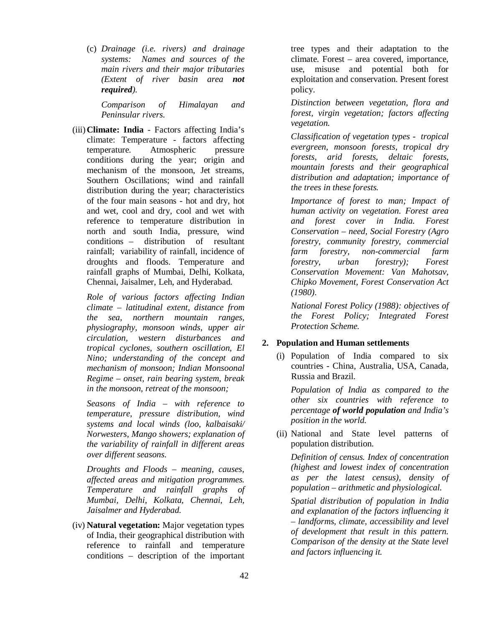(c) *Drainage (i.e. rivers) and drainage systems: Names and sources of the main rivers and their major tributaries (Extent of river basin area not required).*

*Comparison of Himalayan and Peninsular rivers.* 

(iii) **Climate: India** - Factors affecting India's climate: Temperature - factors affecting temperature. Atmospheric pressure conditions during the year; origin and mechanism of the monsoon, Jet streams, Southern Oscillations; wind and rainfall distribution during the year; characteristics of the four main seasons - hot and dry, hot and wet, cool and dry, cool and wet with reference to temperature distribution in north and south India, pressure, wind conditions – distribution of resultant rainfall; variability of rainfall, incidence of droughts and floods. Temperature and rainfall graphs of Mumbai, Delhi, Kolkata, Chennai, Jaisalmer, Leh, and Hyderabad.

*Role of various factors affecting Indian climate – latitudinal extent, distance from the sea, northern mountain ranges, physiography, monsoon winds, upper air circulation, western disturbances and tropical cyclones, southern oscillation, El Nino; understanding of the concept and mechanism of monsoon; Indian Monsoonal Regime – onset, rain bearing system, break in the monsoon, retreat of the monsoon;* 

*Seasons of India – with reference to temperature, pressure distribution, wind systems and local winds (loo, kalbaisaki/ Norwesters, Mango showers; explanation of the variability of rainfall in different areas over different seasons.* 

*Droughts and Floods – meaning, causes, affected areas and mitigation programmes. Temperature and rainfall graphs of Mumbai, Delhi, Kolkata, Chennai, Leh, Jaisalmer and Hyderabad.* 

(iv) **Natural vegetation:** Major vegetation types of India, their geographical distribution with reference to rainfall and temperature conditions – description of the important tree types and their adaptation to the climate. Forest – area covered, importance, use, misuse and potential both for exploitation and conservation. Present forest policy.

*Distinction between vegetation, flora and forest, virgin vegetation; factors affecting vegetation.*

*Classification of vegetation types - tropical evergreen, monsoon forests, tropical dry forests, arid forests, deltaic forests, mountain forests and their geographical distribution and adaptation; importance of the trees in these forests.* 

*Importance of forest to man; Impact of human activity on vegetation. Forest area and forest cover in India. Forest Conservation – need, Social Forestry (Agro forestry, community forestry, commercial farm forestry, non-commercial farm forestry, urban forestry); Forest Conservation Movement: Van Mahotsav, Chipko Movement, Forest Conservation Act (1980).*

*National Forest Policy (1988): objectives of the Forest Policy; Integrated Forest Protection Scheme.*

#### **2. Population and Human settlements**

(i) Population of India compared to six countries - China, Australia, USA, Canada, Russia and Brazil.

*Population of India as compared to the other six countries with reference to percentage of world population and India's position in the world.* 

(ii) National and State level patterns of population distribution.

*Definition of census. Index of concentration (highest and lowest index of concentration as per the latest census), density of population – arithmetic and physiological.*

*Spatial distribution of population in India and explanation of the factors influencing it – landforms, climate, accessibility and level of development that result in this pattern. Comparison of the density at the State level and factors influencing it.*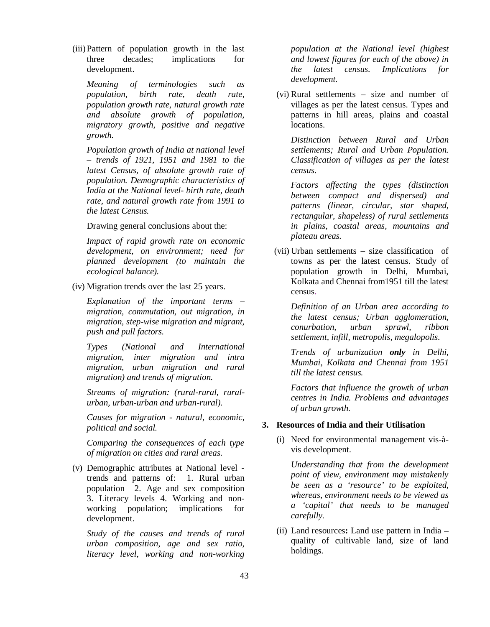(iii) Pattern of population growth in the last three decades; implications for development.

*Meaning of terminologies such as population, birth rate, death rate, population growth rate, natural growth rate and absolute growth of population, migratory growth, positive and negative growth.* 

*Population growth of India at national level – trends of 1921, 1951 and 1981 to the latest Census, of absolute growth rate of population. Demographic characteristics of India at the National level- birth rate, death rate, and natural growth rate from 1991 to the latest Census.*

Drawing general conclusions about the:

*Impact of rapid growth rate on economic development, on environment; need for planned development (to maintain the ecological balance).*

(iv) Migration trends over the last 25 years.

*Explanation of the important terms – migration, commutation, out migration, in migration, step-wise migration and migrant, push and pull factors.* 

*Types (National and International migration, inter migration and intra migration, urban migration and rural migration) and trends of migration.* 

*Streams of migration: (rural-rural, ruralurban, urban-urban and urban-rural).* 

*Causes for migration - natural, economic, political and social.* 

*Comparing the consequences of each type of migration on cities and rural areas.*

(v) Demographic attributes at National level trends and patterns of: 1. Rural urban population 2. Age and sex composition 3. Literacy levels 4. Working and nonworking population; implications for development.

*Study of the causes and trends of rural urban composition, age and sex ratio, literacy level, working and non-working* 

*population at the National level (highest and lowest figures for each of the above) in the latest census. Implications for development.*

(vi) Rural settlements – size and number of villages as per the latest census. Types and patterns in hill areas, plains and coastal locations.

*Distinction between Rural and Urban settlements; Rural and Urban Population. Classification of villages as per the latest census.* 

*Factors affecting the types (distinction between compact and dispersed) and patterns (linear, circular, star shaped, rectangular, shapeless) of rural settlements in plains, coastal areas, mountains and plateau areas.*

(vii) Urban settlements **–** size classification of towns as per the latest census. Study of population growth in Delhi, Mumbai, Kolkata and Chennai from1951 till the latest census.

*Definition of an Urban area according to the latest census; Urban agglomeration, conurbation, urban sprawl, ribbon settlement, infill, metropolis, megalopolis.*

*Trends of urbanization only in Delhi, Mumbai, Kolkata and Chennai from 1951 till the latest census.* 

*Factors that influence the growth of urban centres in India. Problems and advantages of urban growth.*

# **3. Resources of India and their Utilisation**

(i) Need for environmental management vis-àvis development.

*Understanding that from the development point of view, environment may mistakenly be seen as a 'resource' to be exploited, whereas, environment needs to be viewed as a 'capital' that needs to be managed carefully.*

(ii) Land resources**:** Land use pattern in India – quality of cultivable land, size of land holdings.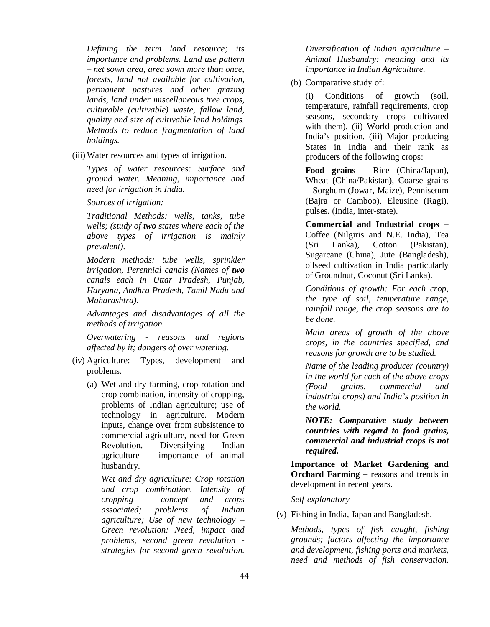*Defining the term land resource; its importance and problems. Land use pattern – net sown area, area sown more than once, forests, land not available for cultivation, permanent pastures and other grazing lands, land under miscellaneous tree crops, culturable (cultivable) waste, fallow land, quality and size of cultivable land holdings. Methods to reduce fragmentation of land holdings.*

(iii) Water resources and types of irrigation.

*Types of water resources: Surface and ground water. Meaning, importance and need for irrigation in India.*

*Sources of irrigation:* 

*Traditional Methods: wells, tanks, tube wells; (study of two states where each of the above types of irrigation is mainly prevalent).* 

*Modern methods: tube wells, sprinkler irrigation, Perennial canals (Names of two canals each in Uttar Pradesh, Punjab, Haryana, Andhra Pradesh, Tamil Nadu and Maharashtra).*

*Advantages and disadvantages of all the methods of irrigation.*

*Overwatering - reasons and regions affected by it; dangers of over watering.*

- (iv) Agriculture: Types, development and problems.
	- (a) Wet and dry farming, crop rotation and crop combination, intensity of cropping, problems of Indian agriculture; use of technology in agriculture. Modern inputs, change over from subsistence to commercial agriculture, need for Green Revolution**.** Diversifying Indian agriculture – importance of animal husbandry.

*Wet and dry agriculture: Crop rotation and crop combination. Intensity of cropping – concept and crops associated; problems of Indian agriculture; Use of new technology – Green revolution: Need, impact and problems, second green revolution strategies for second green revolution.* 

*Diversification of Indian agriculture – Animal Husbandry: meaning and its importance in Indian Agriculture.* 

(b) Comparative study of:

(i) Conditions of growth (soil, temperature, rainfall requirements, crop seasons, secondary crops cultivated with them). (ii) World production and India's position. (iii) Major producing States in India and their rank as producers of the following crops:

**Food grains** - Rice (China/Japan), Wheat (China/Pakistan), Coarse grains – Sorghum (Jowar, Maize), Pennisetum (Bajra or Camboo), Eleusine (Ragi), pulses. (India, inter-state).

**Commercial and Industrial crops** – Coffee (Nilgiris and N.E. India), Tea (Sri Lanka), Cotton (Pakistan), Sugarcane (China), Jute (Bangladesh), oilseed cultivation in India particularly of Groundnut, Coconut (Sri Lanka).

*Conditions of growth: For each crop, the type of soil, temperature range, rainfall range, the crop seasons are to be done.* 

*Main areas of growth of the above crops, in the countries specified, and reasons for growth are to be studied.*

*Name of the leading producer (country) in the world for each of the above crops (Food grains, commercial and industrial crops) and India's position in the world.* 

*NOTE: Comparative study between countries with regard to food grains, commercial and industrial crops is not required.*

**Importance of Market Gardening and Orchard Farming –** reasons and trends in development in recent years.

*Self-explanatory*

(v) Fishing in India, Japan and Bangladesh.

*Methods, types of fish caught, fishing grounds; factors affecting the importance and development, fishing ports and markets, need and methods of fish conservation.*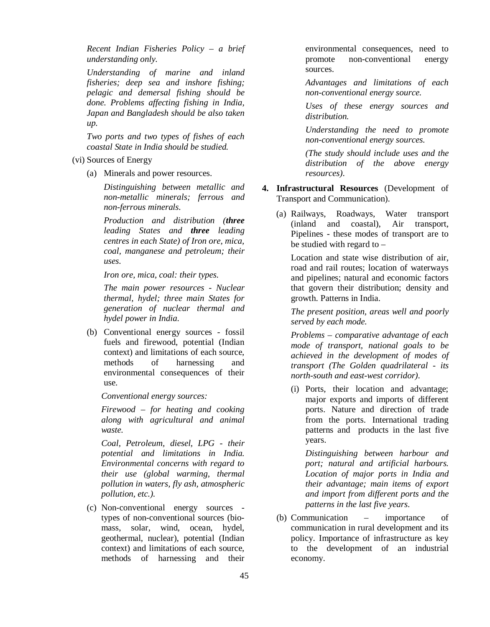*Recent Indian Fisheries Policy – a brief understanding only.* 

*Understanding of marine and inland fisheries; deep sea and inshore fishing; pelagic and demersal fishing should be done. Problems affecting fishing in India, Japan and Bangladesh should be also taken up.* 

*Two ports and two types of fishes of each coastal State in India should be studied.*

(vi) Sources of Energy

(a) Minerals and power resources.

*Distinguishing between metallic and non-metallic minerals; ferrous and non-ferrous minerals.*

*Production and distribution (three leading States and three leading centres in each State) of Iron ore, mica, coal, manganese and petroleum; their uses.*

*Iron ore, mica, coal: their types.* 

*The main power resources - Nuclear thermal, hydel; three main States for generation of nuclear thermal and hydel power in India.* 

(b) Conventional energy sources - fossil fuels and firewood, potential (Indian context) and limitations of each source, methods of harnessing and environmental consequences of their use.

*Conventional energy sources:* 

*Firewood – for heating and cooking along with agricultural and animal waste.*

*Coal, Petroleum, diesel, LPG - their potential and limitations in India. Environmental concerns with regard to their use (global warming, thermal pollution in waters, fly ash, atmospheric pollution, etc.).* 

(c) Non-conventional energy sources types of non-conventional sources (biomass, solar, wind, ocean, hydel, geothermal, nuclear), potential (Indian context) and limitations of each source, methods of harnessing and their

environmental consequences, need to promote non-conventional energy sources.

*Advantages and limitations of each non-conventional energy source.* 

*Uses of these energy sources and distribution.* 

*Understanding the need to promote non-conventional energy sources.* 

*(The study should include uses and the distribution of the above energy resources).*

- **4. Infrastructural Resources** (Development of Transport and Communication).
	- (a) Railways, Roadways, Water transport (inland and coastal), Air transport, Pipelines - these modes of transport are to be studied with regard to –

Location and state wise distribution of air, road and rail routes; location of waterways and pipelines; natural and economic factors that govern their distribution; density and growth. Patterns in India.

*The present position, areas well and poorly served by each mode.*

*Problems – comparative advantage of each mode of transport, national goals to be achieved in the development of modes of transport (The Golden quadrilateral - its north-south and east-west corridor).* 

(i) Ports, their location and advantage; major exports and imports of different ports. Nature and direction of trade from the ports. International trading patterns and products in the last five years.

*Distinguishing between harbour and port; natural and artificial harbours. Location of major ports in India and their advantage; main items of export and import from different ports and the patterns in the last five years.* 

(b) Communication – importance of communication in rural development and its policy. Importance of infrastructure as key to the development of an industrial economy.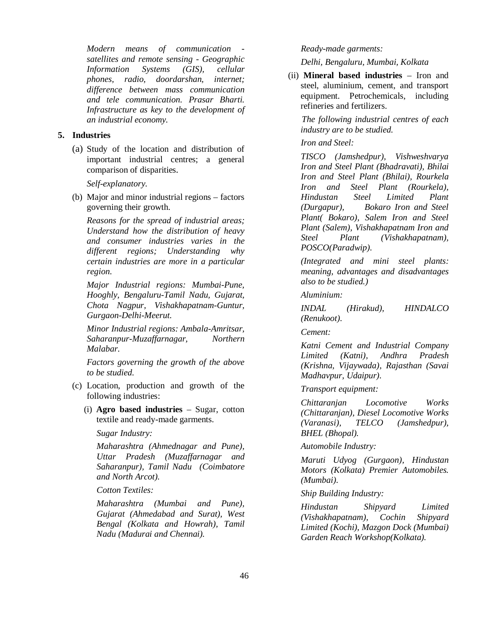*Modern means of communication satellites and remote sensing - Geographic Information Systems (GIS), cellular phones, radio, doordarshan, internet; difference between mass communication and tele communication. Prasar Bharti. Infrastructure as key to the development of an industrial economy.* 

#### **5. Industries**

(a) Study of the location and distribution of important industrial centres; a general comparison of disparities.

*Self-explanatory.*

(b) Major and minor industrial regions – factors governing their growth.

*Reasons for the spread of industrial areas; Understand how the distribution of heavy and consumer industries varies in the different regions; Understanding why certain industries are more in a particular region.*

*Major Industrial regions: Mumbai-Pune, Hooghly, Bengaluru-Tamil Nadu, Gujarat, Chota Nagpur, Vishakhapatnam-Guntur, Gurgaon-Delhi-Meerut.*

*Minor Industrial regions: Ambala-Amritsar, Saharanpur-Muzaffarnagar, Northern Malabar.*

*Factors governing the growth of the above to be studied.*

- (c) Location, production and growth of the following industries:
	- (i) **Agro based industries** Sugar, cotton textile and ready-made garments.

*Sugar Industry:*

*Maharashtra (Ahmednagar and Pune), Uttar Pradesh (Muzaffarnagar and Saharanpur), Tamil Nadu (Coimbatore and North Arcot).*

*Cotton Textiles:*

*Maharashtra (Mumbai and Pune), Gujarat (Ahmedabad and Surat), West Bengal (Kolkata and Howrah), Tamil Nadu (Madurai and Chennai).*

#### *Ready-made garments:*

*Delhi, Bengaluru, Mumbai, Kolkata*

(ii) **Mineral based industries** – Iron and steel, aluminium, cement, and transport equipment. Petrochemicals, including refineries and fertilizers.

*The following industrial centres of each industry are to be studied.*

# *Iron and Steel:*

*TISCO (Jamshedpur), Vishweshvarya Iron and Steel Plant (Bhadravati), Bhilai Iron and Steel Plant (Bhilai), Rourkela Iron and Steel Plant (Rourkela), Hindustan Steel Limited Plant (Durgapur), Bokaro Iron and Steel Plant( Bokaro), Salem Iron and Steel Plant (Salem), Vishakhapatnam Iron and Steel Plant (Vishakhapatnam), POSCO(Paradwip).* 

*(Integrated and mini steel plants: meaning, advantages and disadvantages also to be studied.)*

*Aluminium:*

*INDAL (Hirakud), HINDALCO (Renukoot).*

*Cement:*

*Katni Cement and Industrial Company Limited (Katni), Andhra Pradesh (Krishna, Vijaywada), Rajasthan (Savai Madhavpur, Udaipur).*

# *Transport equipment:*

*Chittaranjan Locomotive Works (Chittaranjan), Diesel Locomotive Works (Varanasi), TELCO (Jamshedpur), BHEL (Bhopal).*

#### *Automobile Industry:*

*Maruti Udyog (Gurgaon), Hindustan Motors (Kolkata) Premier Automobiles. (Mumbai).*

*Ship Building Industry:*

*Hindustan Shipyard Limited (Vishakhapatnam), Cochin Shipyard Limited (Kochi), Mazgon Dock (Mumbai) Garden Reach Workshop(Kolkata).*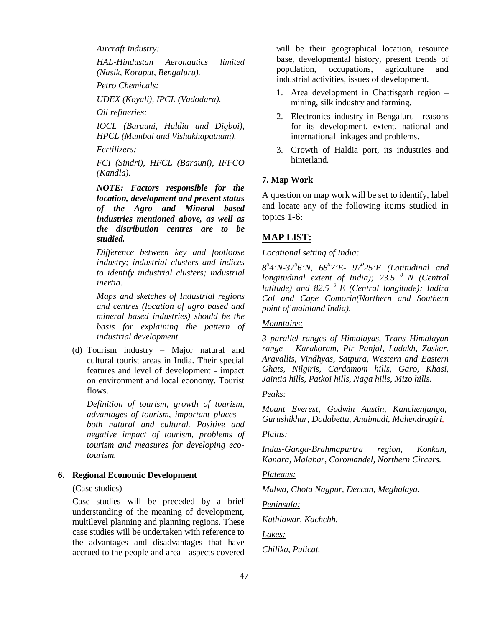*Aircraft Industry:*

*HAL-Hindustan Aeronautics limited (Nasik, Koraput, Bengaluru).*

*Petro Chemicals:*

*UDEX (Koyali), IPCL (Vadodara).*

*Oil refineries:*

*IOCL (Barauni, Haldia and Digboi), HPCL (Mumbai and Vishakhapatnam).*

*Fertilizers:*

*FCI (Sindri), HFCL (Barauni), IFFCO (Kandla).* 

 *NOTE: Factors responsible for the location, development and present status of the Agro and Mineral based industries mentioned above, as well as the distribution centres are to be studied.*

*Difference between key and footloose industry; industrial clusters and indices to identify industrial clusters; industrial inertia.* 

*Maps and sketches of Industrial regions and centres (location of agro based and mineral based industries) should be the basis for explaining the pattern of industrial development.* 

(d) Tourism industry – Major natural and cultural tourist areas in India. Their special features and level of development - impact on environment and local economy. Tourist flows.

*Definition of tourism, growth of tourism, advantages of tourism, important places – both natural and cultural. Positive and negative impact of tourism, problems of tourism and measures for developing ecotourism.* 

# **6. Regional Economic Development**

#### (Case studies)

Case studies will be preceded by a brief understanding of the meaning of development, multilevel planning and planning regions. These case studies will be undertaken with reference to the advantages and disadvantages that have accrued to the people and area - aspects covered will be their geographical location, resource base, developmental history, present trends of population, occupations, agriculture and industrial activities, issues of development.

- 1. Area development in Chattisgarh region mining, silk industry and farming.
- 2. Electronics industry in Bengaluru– reasons for its development, extent, national and international linkages and problems.
- 3. Growth of Haldia port, its industries and hinterland.

# **7. Map Work**

A question on map work will be set to identify, label and locate any of the following items studied in topics 1-6:

# **MAP LIST:**

# *Locational setting of India:*

*8 0 4'N-37<sup>0</sup> 6'N, 68<sup>0</sup> 7'E- 97<sup>0</sup> 25'E (Latitudinal and longitudinal extent of India); 23.5 <sup>0</sup>N (Central latitude) and 82.5 <sup>0</sup>E (Central longitude); Indira Col and Cape Comorin(Northern and Southern point of mainland India).*

#### *Mountains:*

*3 parallel ranges of Himalayas, Trans Himalayan range – Karakoram, Pir Panjal, Ladakh, Zaskar. Aravallis, Vindhyas, Satpura, Western and Eastern Ghats, Nilgiris, Cardamom hills, Garo, Khasi, Jaintia hills, Patkoi hills, Naga hills, Mizo hills.*

#### *Peaks:*

*Mount Everest, Godwin Austin, Kanchenjunga, Gurushikhar, Dodabetta, Anaimudi, Mahendragiri,* 

# *Plains:*

*Indus-Ganga-Brahmapurtra region, Konkan, Kanara, Malabar, Coromandel, Northern Circars.*

*Plateaus:*

*Malwa, Chota Nagpur, Deccan, Meghalaya.*

*Peninsula:*

*Kathiawar, Kachchh.* 

*Lakes:*

*Chilika, Pulicat.*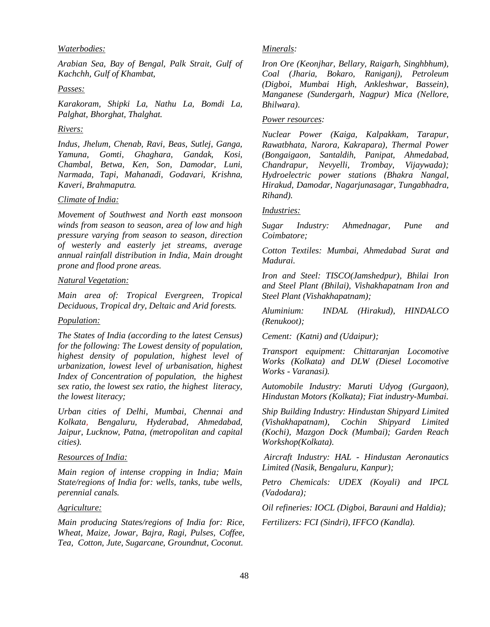#### *Waterbodies:*

*Arabian Sea, Bay of Bengal, Palk Strait, Gulf of Kachchh, Gulf of Khambat,*

#### *Passes:*

*Karakoram, Shipki La, Nathu La, Bomdi La, Palghat, Bhorghat, Thalghat.*

# *Rivers:*

*Indus, Jhelum, Chenab, Ravi, Beas, Sutlej, Ganga, Yamuna, Gomti, Ghaghara, Gandak, Kosi, Chambal, Betwa, Ken, Son, Damodar, Luni, Narmada, Tapi, Mahanadi, Godavari, Krishna, Kaveri, Brahmaputra.*

#### *Climate of India:*

*Movement of Southwest and North east monsoon winds from season to season, area of low and high pressure varying from season to season, direction of westerly and easterly jet streams, average annual rainfall distribution in India, Main drought prone and flood prone areas.*

#### *Natural Vegetation:*

*Main area of: Tropical Evergreen, Tropical Deciduous, Tropical dry, Deltaic and Arid forests.*

#### *Population:*

*The States of India (according to the latest Census) for the following: The Lowest density of population, highest density of population, highest level of urbanization, lowest level of urbanisation, highest Index of Concentration of population, the highest sex ratio, the lowest sex ratio, the highest literacy, the lowest literacy;*

*Urban cities of Delhi, Mumbai, Chennai and Kolkata, Bengaluru, Hyderabad, Ahmedabad, Jaipur, Lucknow, Patna, (metropolitan and capital cities).*

#### *Resources of India:*

*Main region of intense cropping in India; Main State/regions of India for: wells, tanks, tube wells, perennial canals.* 

#### *Agriculture:*

*Main producing States/regions of India for: Rice, Wheat, Maize, Jowar, Bajra, Ragi, Pulses, Coffee, Tea, Cotton, Jute, Sugarcane, Groundnut, Coconut.*

# *Minerals:*

*Iron Ore (Keonjhar, Bellary, Raigarh, Singhbhum), Coal (Jharia, Bokaro, Raniganj), Petroleum (Digboi, Mumbai High, Ankleshwar, Bassein), Manganese (Sundergarh, Nagpur) Mica (Nellore, Bhilwara).* 

#### *Power resources:*

*Nuclear Power (Kaiga, Kalpakkam, Tarapur, Rawatbhata, Narora, Kakrapara), Thermal Power (Bongaigaon, Santaldih, Panipat, Ahmedabad, Chandrapur, Nevyelli, Trombay, Vijaywada); Hydroelectric power stations (Bhakra Nangal, Hirakud, Damodar, Nagarjunasagar, Tungabhadra, Rihand).*

#### *Industries:*

*Sugar Industry: Ahmednagar, Pune and Coimbatore;* 

*Cotton Textiles: Mumbai, Ahmedabad Surat and Madurai.* 

*Iron and Steel: TISCO(Jamshedpur), Bhilai Iron and Steel Plant (Bhilai), Vishakhapatnam Iron and Steel Plant (Vishakhapatnam);* 

*Aluminium: INDAL (Hirakud), HINDALCO (Renukoot);* 

*Cement: (Katni) and (Udaipur);*

*Transport equipment: Chittaranjan Locomotive Works (Kolkata) and DLW (Diesel Locomotive Works - Varanasi).* 

*Automobile Industry: Maruti Udyog (Gurgaon), Hindustan Motors (Kolkata); Fiat industry-Mumbai.*

*Ship Building Industry: Hindustan Shipyard Limited (Vishakhapatnam), Cochin Shipyard Limited (Kochi), Mazgon Dock (Mumbai); Garden Reach Workshop(Kolkata).*

 *Aircraft Industry: HAL - Hindustan Aeronautics Limited (Nasik, Bengaluru, Kanpur);* 

*Petro Chemicals: UDEX (Koyali) and IPCL (Vadodara);* 

*Oil refineries: IOCL (Digboi, Barauni and Haldia);* 

*Fertilizers: FCI (Sindri), IFFCO (Kandla).*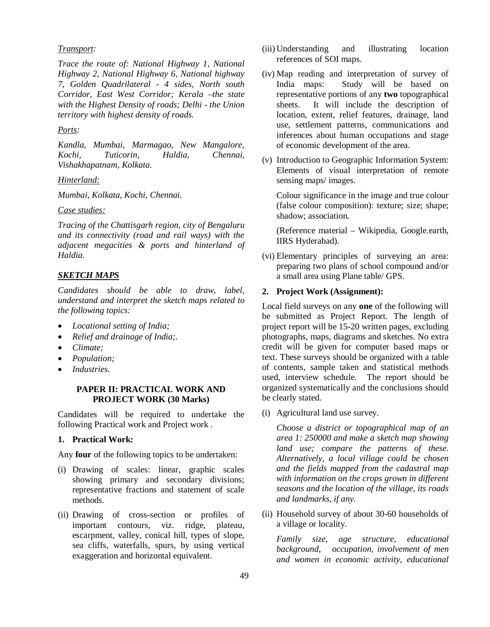# *Transport:*

*Trace the route of: National Highway 1, National Highway 2, National Highway 6, National highway 7, Golden Quadrilateral - 4 sides, North south Corridor, East West Corridor; Kerala –the state with the Highest Density of roads; Delhi - the Union territory with highest density of roads.*

# *Ports:*

*Kandla, Mumbai, Marmagao, New Mangalore, Kochi, Tuticorin, Haldia, Chennai, Vishakhapatnam, Kolkata.*

#### *Hinterland:*

*Mumbai, Kolkata, Kochi, Chennai.*

# *Case studies:*

*Tracing of the Chattisgarh region, city of Bengaluru and its connectivity (road and rail ways) with the adjacent megacities & ports and hinterland of Haldia.*

# *SKETCH MAPS*

*Candidates should be able to draw, label, understand and interpret the sketch maps related to the following topics:*

- *Locational setting of India;*
- *Relief and drainage of India;.*
- *Climate;*
- *Population;*
- *Industries.*

# **PAPER II: PRACTICAL WORK AND PROJECT WORK (30 Marks)**

Candidates will be required to undertake the following Practical work and Project work .

# **1. Practical Work:**

Any **four** of the following topics to be undertaken:

- (i) Drawing of scales: linear, graphic scales showing primary and secondary divisions; representative fractions and statement of scale methods.
- (ii) Drawing of cross-section or profiles of important contours, viz. ridge, plateau, escarpment, valley, conical hill, types of slope, sea cliffs, waterfalls, spurs, by using vertical exaggeration and horizontal equivalent.
- (iii) Understanding and illustrating location references of SOI maps.
- (iv) Map reading and interpretation of survey of India maps: Study will be based on representative portions of any **two** topographical sheets. It will include the description of location, extent, relief features, drainage, land use, settlement patterns, communications and inferences about human occupations and stage of economic development of the area.
- (v) Introduction to Geographic Information System: Elements of visual interpretation of remote sensing maps/ images.

Colour significance in the image and true colour (false colour composition): texture; size; shape; shadow; association.

(Reference material – Wikipedia, Google.earth, IIRS Hyderabad).

(vi) Elementary principles of surveying an area: preparing two plans of school compound and/or a small area using Plane table/ GPS.

# **2. Project Work (Assignment):**

Local field surveys on any **one** of the following will be submitted as Project Report. The length of project report will be 15-20 written pages, excluding photographs, maps, diagrams and sketches. No extra credit will be given for computer based maps or text. These surveys should be organized with a table of contents, sample taken and statistical methods used, interview schedule. The report should be organized systematically and the conclusions should be clearly stated.

(i) Agricultural land use survey.

*Choose a district or topographical map of an area 1: 250000 and make a sketch map showing land use; compare the patterns of these. Alternatively, a local village could be chosen and the fields mapped from the cadastral map with information on the crops grown in different seasons and the location of the village, its roads and landmarks, if any.*

(ii) Household survey of about 30-60 households of a village or locality.

*Family size, age structure, educational background, occupation, involvement of men and women in economic activity, educational*